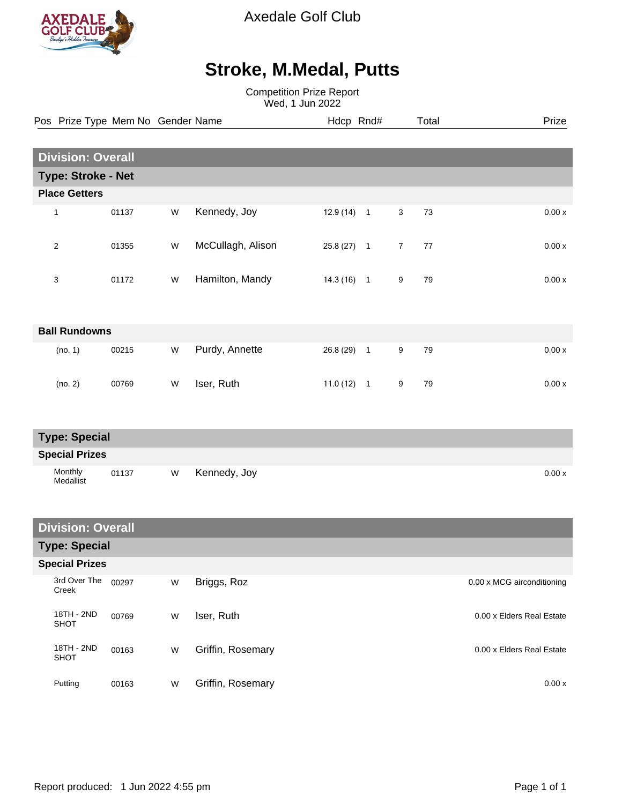

Medallist

Axedale Golf Club

## **Stroke, M.Medal, Putts**

Competition Prize Report Wed, 1 Jun 2022

|                          |                           | Pos Prize Type Mem No Gender Name |   |                   | Hdcp Rnd#    |  |                | Total | Prize |
|--------------------------|---------------------------|-----------------------------------|---|-------------------|--------------|--|----------------|-------|-------|
|                          |                           |                                   |   |                   |              |  |                |       |       |
| <b>Division: Overall</b> |                           |                                   |   |                   |              |  |                |       |       |
|                          | <b>Type: Stroke - Net</b> |                                   |   |                   |              |  |                |       |       |
| <b>Place Getters</b>     |                           |                                   |   |                   |              |  |                |       |       |
|                          | 1                         | 01137                             | W | Kennedy, Joy      | $12.9(14)$ 1 |  | $\mathbf{3}$   | 73    | 0.00x |
|                          | $\sqrt{2}$                | 01355                             | W | McCullagh, Alison | $25.8(27)$ 1 |  | $\overline{7}$ | 77    | 0.00x |
|                          | 3                         | 01172                             | W | Hamilton, Mandy   | $14.3(16)$ 1 |  | 9              | 79    | 0.00x |
| <b>Ball Rundowns</b>     |                           |                                   |   |                   |              |  |                |       |       |
|                          | (no. 1)                   | 00215                             | W | Purdy, Annette    | 26.8 (29) 1  |  | $9\,$          | 79    | 0.00x |
|                          | (no. 2)                   | 00769                             | W | Iser, Ruth        | $11.0(12)$ 1 |  | 9              | 79    | 0.00x |
| <b>Type: Special</b>     |                           |                                   |   |                   |              |  |                |       |       |
| <b>Special Prizes</b>    |                           |                                   |   |                   |              |  |                |       |       |
|                          | Monthly                   | 01137                             | W | Kennedy, Joy      |              |  |                |       | 0.00x |

| <b>Division: Overall</b>  |       |   |                   |                            |  |  |  |
|---------------------------|-------|---|-------------------|----------------------------|--|--|--|
| <b>Type: Special</b>      |       |   |                   |                            |  |  |  |
| <b>Special Prizes</b>     |       |   |                   |                            |  |  |  |
| 3rd Over The<br>Creek     | 00297 | W | Briggs, Roz       | 0.00 x MCG airconditioning |  |  |  |
| 18TH - 2ND<br><b>SHOT</b> | 00769 | W | Iser, Ruth        | 0.00 x Elders Real Estate  |  |  |  |
| 18TH - 2ND<br>SHOT        | 00163 | W | Griffin, Rosemary | 0.00 x Elders Real Estate  |  |  |  |
| Putting                   | 00163 | W | Griffin, Rosemary | 0.00x                      |  |  |  |